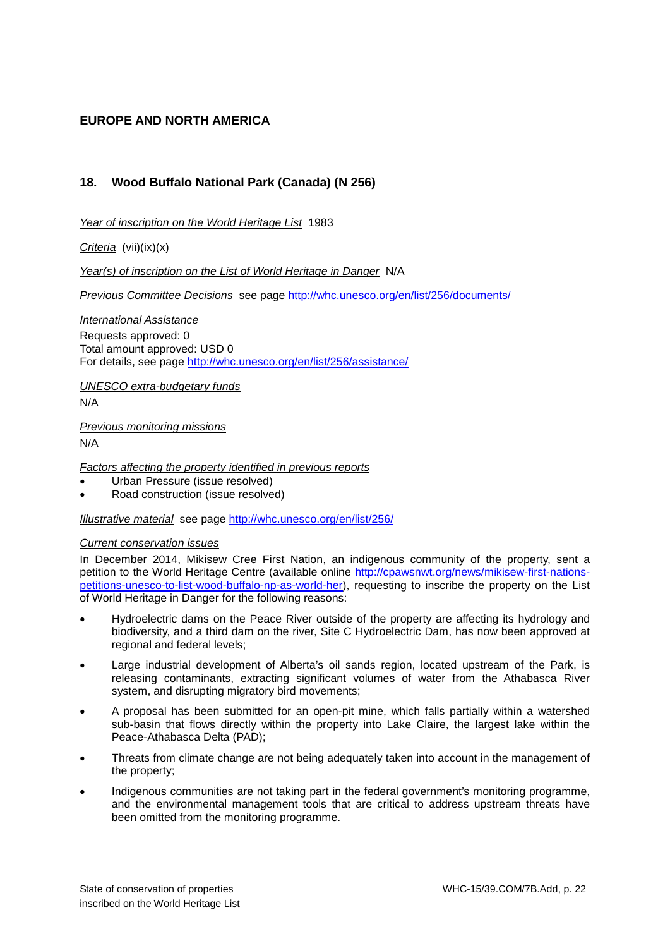# **EUROPE AND NORTH AMERICA**

# **18. Wood Buffalo National Park (Canada) (N 256)**

*Year of inscription on the World Heritage List* 1983

*Criteria* (vii)(ix)(x)

*Year(s) of inscription on the List of World Heritage in Danger* N/A

*Previous Committee Decisions* see page [http://whc.unesco.org/en/list/256/documents/](http://whc.unesco.org/en/list/256/documents)

*International Assistance* 

Requests approved: 0 Total amount approved: USD 0 For details, see page [http://whc.unesco.org/en/list/256/assistance/](http://whc.unesco.org/en/list/256/assistance)

*UNESCO extra-budgetary funds*  N/A

*Previous monitoring missions*  N/A

*Factors affecting the property identified in previous reports* 

- Urban Pressure (issue resolved)
- Road construction (issue resolved)

*Illustrative material* see page [http://whc.unesco.org/en/list/256/](http://whc.unesco.org/en/list/256)

### *Current conservation issues*

In December 2014, Mikisew Cree First Nation, an indigenous community of the property, sent a petition to the World Heritage Centre (available online [http://cpawsnwt.org/news/mikisew-first-nations](http://cpawsnwt.org/news/mikisew-first-nations-petitions-unesco-to-list-wood-buffalo-np-as-world-her)[petitions-unesco-to-list-wood-buffalo-np-as-world-her\)](http://cpawsnwt.org/news/mikisew-first-nations-petitions-unesco-to-list-wood-buffalo-np-as-world-her), requesting to inscribe the property on the List of World Heritage in Danger for the following reasons:

- Hydroelectric dams on the Peace River outside of the property are affecting its hydrology and biodiversity, and a third dam on the river, Site C Hydroelectric Dam, has now been approved at regional and federal levels;
- Large industrial development of Alberta's oil sands region, located upstream of the Park, is releasing contaminants, extracting significant volumes of water from the Athabasca River system, and disrupting migratory bird movements;
- A proposal has been submitted for an open-pit mine, which falls partially within a watershed sub-basin that flows directly within the property into Lake Claire, the largest lake within the Peace-Athabasca Delta (PAD);
- Threats from climate change are not being adequately taken into account in the management of the property;
- Indigenous communities are not taking part in the federal government's monitoring programme, and the environmental management tools that are critical to address upstream threats have been omitted from the monitoring programme.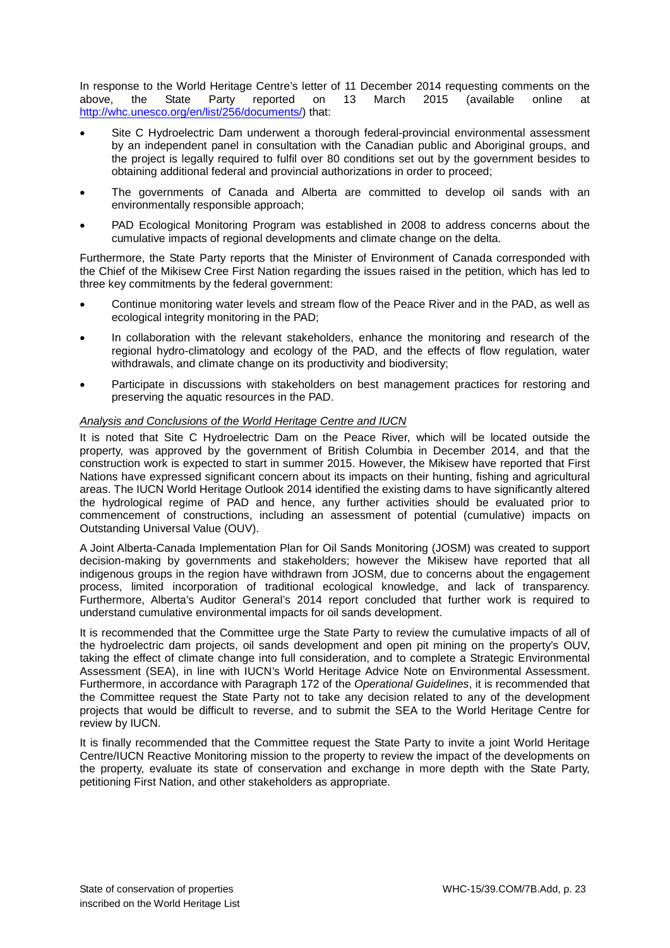In response to the World Heritage Centre's letter of 11 December 2014 requesting comments on the above.<br>
above. 
the State Party reported on 13 March 2015 (available online at March 2015 (available online at [http://whc.unesco.org/en/list/256/documents/\)](http://whc.unesco.org/en/list/256/documents/) that:

- Site C Hydroelectric Dam underwent a thorough federal-provincial environmental assessment by an independent panel in consultation with the Canadian public and Aboriginal groups, and the project is legally required to fulfil over 80 conditions set out by the government besides to obtaining additional federal and provincial authorizations in order to proceed;
- The governments of Canada and Alberta are committed to develop oil sands with an environmentally responsible approach;
- PAD Ecological Monitoring Program was established in 2008 to address concerns about the cumulative impacts of regional developments and climate change on the delta.

Furthermore, the State Party reports that the Minister of Environment of Canada corresponded with the Chief of the Mikisew Cree First Nation regarding the issues raised in the petition, which has led to three key commitments by the federal government:

- Continue monitoring water levels and stream flow of the Peace River and in the PAD, as well as ecological integrity monitoring in the PAD;
- In collaboration with the relevant stakeholders, enhance the monitoring and research of the regional hydro-climatology and ecology of the PAD, and the effects of flow regulation, water withdrawals, and climate change on its productivity and biodiversity;
- Participate in discussions with stakeholders on best management practices for restoring and preserving the aquatic resources in the PAD.

### *Analysis and Conclusions of the World Heritage Centre and IUCN*

It is noted that Site C Hydroelectric Dam on the Peace River, which will be located outside the property, was approved by the government of British Columbia in December 2014, and that the construction work is expected to start in summer 2015. However, the Mikisew have reported that First Nations have expressed significant concern about its impacts on their hunting, fishing and agricultural areas. The IUCN World Heritage Outlook 2014 identified the existing dams to have significantly altered the hydrological regime of PAD and hence, any further activities should be evaluated prior to commencement of constructions, including an assessment of potential (cumulative) impacts on Outstanding Universal Value (OUV).

A Joint Alberta-Canada Implementation Plan for Oil Sands Monitoring (JOSM) was created to support decision-making by governments and stakeholders; however the Mikisew have reported that all indigenous groups in the region have withdrawn from JOSM, due to concerns about the engagement process, limited incorporation of traditional ecological knowledge, and lack of transparency. Furthermore, Alberta's Auditor General's 2014 report concluded that further work is required to understand cumulative environmental impacts for oil sands development.

It is recommended that the Committee urge the State Party to review the cumulative impacts of all of the hydroelectric dam projects, oil sands development and open pit mining on the property's OUV, taking the effect of climate change into full consideration, and to complete a Strategic Environmental Assessment (SEA), in line with IUCN's World Heritage Advice Note on Environmental Assessment. Furthermore, in accordance with Paragraph 172 of the *Operational Guidelines*, it is recommended that the Committee request the State Party not to take any decision related to any of the development projects that would be difficult to reverse, and to submit the SEA to the World Heritage Centre for review by IUCN.

It is finally recommended that the Committee request the State Party to invite a joint World Heritage Centre/IUCN Reactive Monitoring mission to the property to review the impact of the developments on the property, evaluate its state of conservation and exchange in more depth with the State Party, petitioning First Nation, and other stakeholders as appropriate.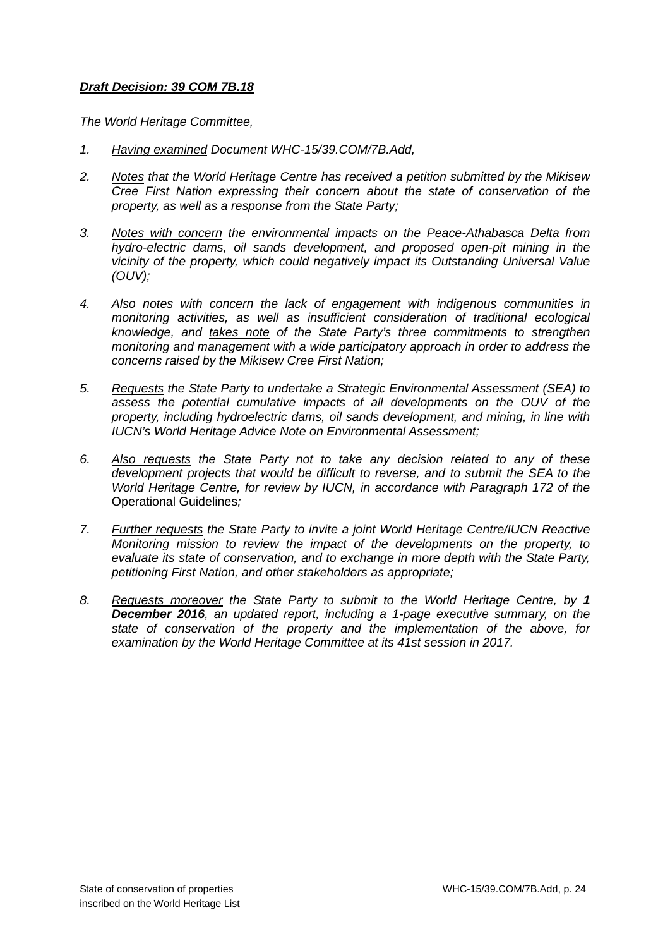# *Draft Decision: 39 COM 7B.18*

*The World Heritage Committee,* 

- *1. Having examined Document WHC-15/39.COM/7B.Add,*
- *2. Notes that the World Heritage Centre has received a petition submitted by the Mikisew Cree First Nation expressing their concern about the state of conservation of the property, as well as a response from the State Party;*
- *3. Notes with concern the environmental impacts on the Peace-Athabasca Delta from hydro-electric dams, oil sands development, and proposed open-pit mining in the vicinity of the property, which could negatively impact its Outstanding Universal Value (OUV);*
- *4. Also notes with concern the lack of engagement with indigenous communities in monitoring activities, as well as insufficient consideration of traditional ecological knowledge, and takes note of the State Party's three commitments to strengthen monitoring and management with a wide participatory approach in order to address the concerns raised by the Mikisew Cree First Nation;*
- *5. Requests the State Party to undertake a Strategic Environmental Assessment (SEA) to*  assess the potential cumulative impacts of all developments on the OUV of the *property, including hydroelectric dams, oil sands development, and mining, in line with IUCN's World Heritage Advice Note on Environmental Assessment;*
- *6. Also requests the State Party not to take any decision related to any of these development projects that would be difficult to reverse, and to submit the SEA to the World Heritage Centre, for review by IUCN, in accordance with Paragraph 172 of the*  Operational Guidelines*;*
- *7. Further requests the State Party to invite a joint World Heritage Centre/IUCN Reactive Monitoring mission to review the impact of the developments on the property, to evaluate its state of conservation, and to exchange in more depth with the State Party, petitioning First Nation, and other stakeholders as appropriate;*
- *8. Requests moreover the State Party to submit to the World Heritage Centre, by 1 December 2016, an updated report, including a 1-page executive summary, on the state of conservation of the property and the implementation of the above, for examination by the World Heritage Committee at its 41st session in 2017.*